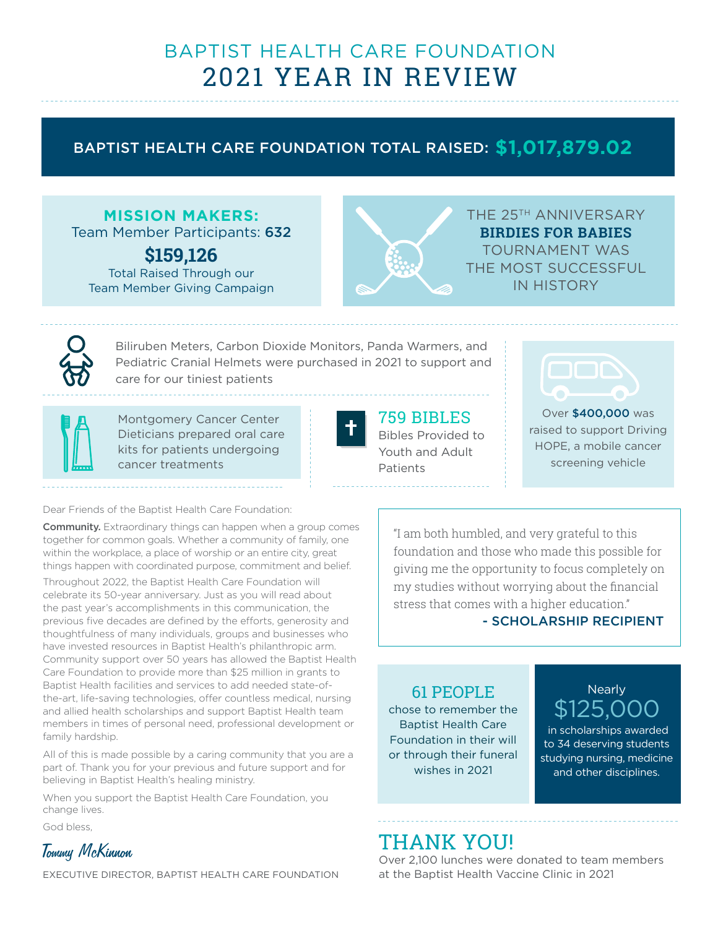# BAPTIST HEALTH CARE FOUNDATION 2021 YEAR IN REVIEW

## BAPTIST HEALTH CARE FOUNDATION TOTAL RAISED: **\$1,017,879.02**

## **MISSION MAKERS:**

Team Member Participants: 632

**\$159,126**  Total Raised Through our Team Member Giving Campaign



THE 25TH ANNIVERSARY **BIRDIES FOR BABIES** TOURNAMENT WAS THE MOST SUCCESSFUL IN HISTORY



Biliruben Meters, Carbon Dioxide Monitors, Panda Warmers, and Pediatric Cranial Helmets were purchased in 2021 to support and care for our tiniest patients



Montgomery Cancer Center Dieticians prepared oral care kits for patients undergoing cancer treatments



## 759 BIBLES

Bibles Provided to Youth and Adult Patients



Over \$400,000 was raised to support Driving HOPE, a mobile cancer screening vehicle

Dear Friends of the Baptist Health Care Foundation:

**Community.** Extraordinary things can happen when a group comes together for common goals. Whether a community of family, one within the workplace, a place of worship or an entire city, great things happen with coordinated purpose, commitment and belief.

Throughout 2022, the Baptist Health Care Foundation will celebrate its 50-year anniversary. Just as you will read about the past year's accomplishments in this communication, the previous five decades are defined by the efforts, generosity and thoughtfulness of many individuals, groups and businesses who have invested resources in Baptist Health's philanthropic arm. Community support over 50 years has allowed the Baptist Health Care Foundation to provide more than \$25 million in grants to Baptist Health facilities and services to add needed state-ofthe-art, life-saving technologies, offer countless medical, nursing and allied health scholarships and support Baptist Health team members in times of personal need, professional development or family hardship.

All of this is made possible by a caring community that you are a part of. Thank you for your previous and future support and for believing in Baptist Health's healing ministry.

When you support the Baptist Health Care Foundation, you change lives.

God bless,



EXECUTIVE DIRECTOR, BAPTIST HEALTH CARE FOUNDATION

"I am both humbled, and very grateful to this foundation and those who made this possible for giving me the opportunity to focus completely on my studies without worrying about the financial stress that comes with a higher education."

### - SCHOLARSHIP RECIPIENT

## 61 PEOPLE

chose to remember the Baptist Health Care Foundation in their will or through their funeral wishes in 2021

## **Nearly** \$125.0

 in scholarships awarded to 34 deserving students studying nursing, medicine and other disciplines.

# THANK YOU!

Over 2,100 lunches were donated to team members at the Baptist Health Vaccine Clinic in 2021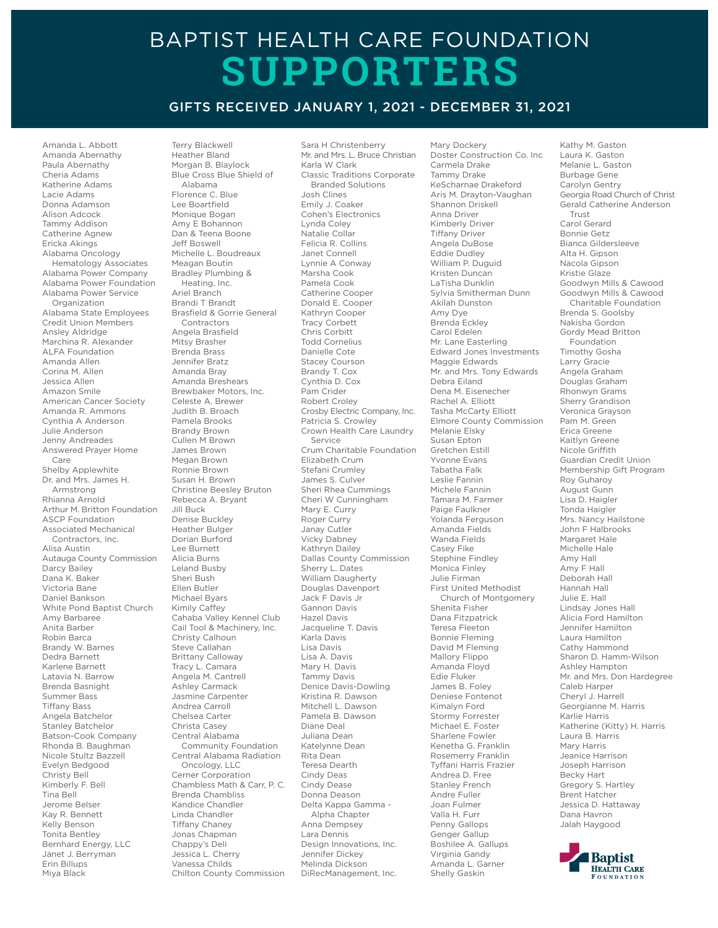# BAPTIST HEALTH CARE FOUNDATION **SUPPORTERS**

#### GIFTS RECEIVED JANUARY 1, 2021 - DECEMBER 31, 2021

Amanda L. Abbott Amanda Abernathy Paula Abernathy Cheria Adams Katherine Adams Lacie Adams Donna Adamson Alison Adcock Tammy Addison Catherine Agnew Ericka Akings Alabama Oncology Hematology Associates Alabama Power Company Alabama Power Foundation Alabama Power Service Organization Alabama State Employees Credit Union Members Ansley Aldridge Marchina R. Alexander ALFA Foundation Amanda Allen Corina M. Allen Jessica Allen Amazon Smile American Cancer Society Amanda R. Ammons Cynthia A Anderson Julie Anderson Jenny Andreades Answered Prayer Home Care Shelby Applewhite Dr. and Mrs. James H. Armstrong Rhianna Arnold Arthur M. Britton Foundation ASCP Foundation Associated Mechanical Contractors, Inc. Alisa Austin Autauga County Commission Darcy Bailey Dana K. Baker Victoria Bane Daniel Bankson White Pond Baptist Church Amy Barbaree Anita Barber Robin Barca Brandy W. Barnes Dedra Barnett Karlene Barnett Latavia N. Barrow Brenda Basnight Summer Bass Tiffany Bass Angela Batchelor Stanley Batchelor Batson-Cook Company Rhonda B. Baughman Nicole Stultz Bazzell Evelyn Bedgood Christy Bell Kimberly F. Bell Tina Bell Jerome Belser Kay R. Bennett Kelly Benson Tonita Bentley Bernhard Energy, LLC Janet J. Berryman Erin Billups Miya Black

Terry Blackwell Heather Bland Morgan B. Blaylock Blue Cross Blue Shield of Alabama Florence C. Blue Lee Boartfield Monique Bogan Amy E Bohannon Dan & Teena Boone Jeff Boswell Michelle L. Boudreaux Meagan Boutin Bradley Plumbing & Heating, Inc. Ariel Branch Brandi T Brandt Brasfield & Gorrie General Contractors Angela Brasfield Mitsy Brasher Brenda Brass Jennifer Bratz Amanda Bray Amanda Breshears Brewbaker Motors, Inc. Celeste A. Brewer Judith B. Broach Pamela Brooks Brandy Brown Cullen M Brown James Brown Megan Brown Ronnie Brown Susan H. Brown Christine Beesley Bruton Rebecca A. Bryant Jill Buck Denise Buckley Heather Bulger Dorian Burford Lee Burnett Alicia Burns Leland Busby Sheri Bush Ellen Butler Michael Byars Kimily Caffey Cahaba Valley Kennel Club Cail Tool & Machinery, Inc. Christy Calhoun Steve Callahan Brittany Calloway Tracy L. Camara Angela M. Cantrell Ashley Carmack Jasmine Carpenter Andrea Carroll Chelsea Carter Christa Casey Central Alabama Community Foundation Central Alabama Radiation Oncology, LLC Cerner Corporation Chambless Math & Carr, P. C. Brenda Chambliss Kandice Chandler Linda Chandler Tiffany Chaney Jonas Chapman Chappy's Deli Jessica L. Cherry Vanessa Childs Chilton County Commission

Sara H Christenberry Mr. and Mrs. L. Bruce Christian Karla W Clark Classic Traditions Corporate Branded Solutions Josh Clines Emily J. Coaker Cohen's Electronics Lynda Coley Natalie Collar Felicia R. Collins Janet Connell Lynnie A Conway Marsha Cook Pamela Cook Catherine Cooper Donald E. Cooper Kathryn Cooper Tracy Corbett Chris Corbitt Todd Cornelius Danielle Cote Stacey Courson Brandy T. Cox Cynthia D. Cox Pam Crider Robert Croley Crosby Electric Company, Inc. Patricia S. Crowley Crown Health Care Laundry Service Crum Charitable Foundation Elizabeth Crum Stefani Crumley James S. Culver Sheri Rhea Cummings Cheri W Cunningham Mary E. Curry Roger Curry Janay Cutler Vicky Dabney Kathryn Dailey Dallas County Commission Sherry L. Dates William Daugherty Douglas Davenport Jack F Davis Jr Gannon Davis Hazel Davis Jacqueline T. Davis Karla Davis Lisa Davis Lisa A. Davis Mary H. Davis Tammy Davis Denice Davis-Dowling Kristina R. Dawson Mitchell L. Dawson Pamela B. Dawson Diane Deal Juliana Dean Katelynne Dean Rita Dean Teresa Dearth Cindy Deas Cindy Dease Donna Deason Delta Kappa Gamma - Alpha Chapter Anna Dempsey Lara Dennis Design Innovations, Inc. Jennifer Dickey Melinda Dickson DiRecManagement, Inc.

Mary Dockery Doster Construction Co. Inc Carmela Drake Tammy Drake KeScharnae Drakeford Aris M. Drayton-Vaughan Shannon Driskell Anna Driver Kimberly Driver Tiffany Driver Angela DuBose Eddie Dudley William P. Duguid Kristen Duncan LaTisha Dunklin Sylvia Smitherman Dunn Akilah Dunston Amy Dye Brenda Eckley Carol Edelen Mr. Lane Easterling Edward Jones Investments Maggie Edwards Mr. and Mrs. Tony Edwards Debra Eiland Dena M. Eisenecher Rachel A. Elliott Tasha McCarty Elliott Elmore County Commission Melanie Elsky Susan Epton Gretchen Estill Yvonne Evans Tabatha Falk Leslie Fannin Michele Fannin Tamara M. Farmer Paige Faulkner Yolanda Ferguson Amanda Fields Wanda Fields Casey Fike Stephine Findley Monica Finley Julie Firman First United Methodist Church of Montgomery Shenita Fisher Dana Fitzpatrick Teresa Fleeton Bonnie Fleming David M Fleming Mallory Flippo Amanda Floyd Edie Fluker James B. Foley Deniese Fontenot Kimalyn Ford Stormy Forrester Michael E. Foster Sharlene Fowler Kenetha G. Franklin Rosemerry Franklin Tyffani Harris Frazier Andrea D. Free Stanley French Andre Fuller Joan Fulmer Valla H. Furr Penny Gallops Genger Gallup Boshilee A. Gallups Virginia Gandy Amanda L. Garner Shelly Gaskin

Kathy M. Gaston Laura K. Gaston Melanie L. Gaston Burbage Gene Carolyn Gentry Georgia Road Church of Christ Gerald Catherine Anderson Trust Carol Gerard Bonnie Getz Bianca Gildersleeve Alta H. Gipson Nacola Gipson Kristie Glaze Goodwyn Mills & Cawood Goodwyn Mills & Cawood Charitable Foundation Brenda S. Goolsby Nakisha Gordon Gordy Mead Britton Foundation Timothy Gosha Larry Gracie Angela Graham Douglas Graham Rhonwyn Grams Sherry Grandison Veronica Grayson Pam M. Green Erica Greene Kaitlyn Greene Nicole Griffith Guardian Credit Union Membership Gift Program Roy Guharoy August Gunn Lisa D. Haigler Tonda Haigler Mrs. Nancy Hailstone John F Halbrooks Margaret Hale Michelle Hale Amy Hall Amy F Hall Deborah Hall Hannah Hall Julie E. Hall Lindsay Jones Hall Alicia Ford Hamilton Jennifer Hamilton Laura Hamilton Cathy Hammond Sharon D. Hamm-Wilson Ashley Hampton Mr. and Mrs. Don Hardegree Caleb Harper Cheryl J. Harrell Georgianne M. Harris Karlie Harris Katherine (Kitty) H. Harris Laura B. Harris Mary Harris Jeanice Harrison Joseph Harrison Becky Hart Gregory S. Hartley Brent Hatcher Jessica D. Hattaway Dana Havron Jalah Haygood

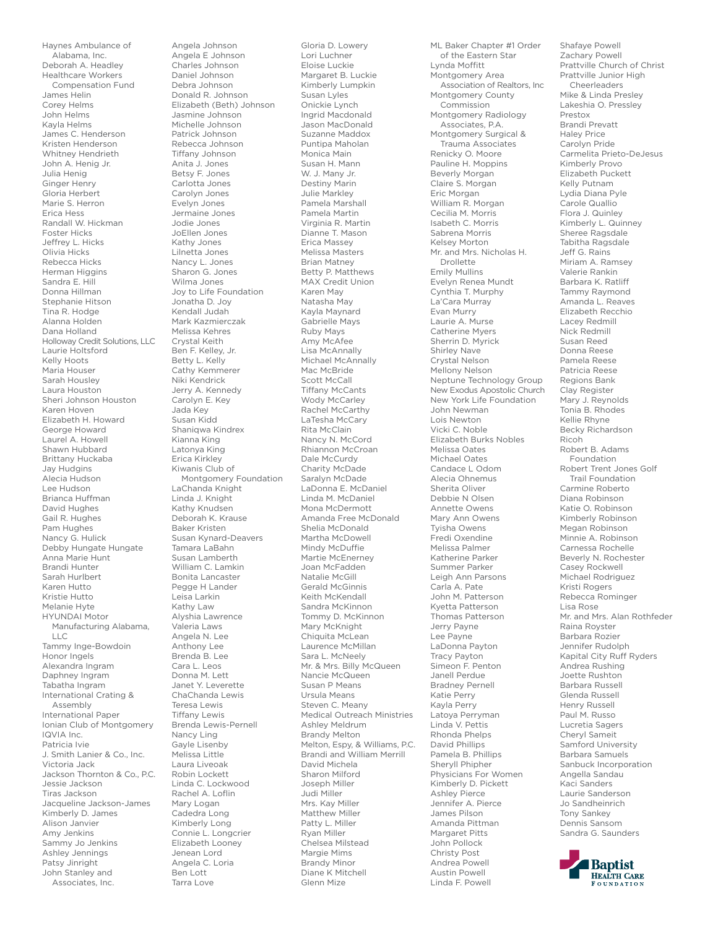Haynes Ambulance of Alabama, Inc. Deborah A. Headley Healthcare Workers Compensation Fund James Helin Corey Helms John Helms Kayla Helms James C. Henderson Kristen Henderson Whitney Hendrieth John A. Henig Jr. Julia Henig Ginger Henry Gloria Herbert Marie S. Herron Erica Hess Randall W. Hickman Foster Hicks Jeffrey L. Hicks Olivia Hicks Rebecca Hicks Herman Higgins Sandra E. Hill Donna Hillman Stephanie Hitson Tina R. Hodge Alanna Holden Dana Holland Holloway Credit Solutions, LLC Laurie Holtsford Kelly Hoots Maria Houser Sarah Housley Laura Houston Sheri Johnson Houston Karen Hoven Elizabeth H. Howard George Howard Laurel A. Howell Shawn Hubbard Brittany Huckaba Jay Hudgins Alecia Hudson Lee Hudson Brianca Huffman David Hughes Gail R. Hughes Pam Hughes Nancy G. Hulick Debby Hungate Hungate Anna Marie Hunt Brandi Hunter Sarah Hurlbert Karen Hutto Kristie Hutto Melanie Hyte HYUNDAI Motor Manufacturing Alabama,  $\vdash$ Tammy Inge-Bowdoin Honor Ingels Alexandra Ingram Daphney Ingram Tabatha Ingram International Crating & Assembly International Paper Ionian Club of Montgomery IQVIA Inc. Patricia Ivie J. Smith Lanier & Co., Inc. Victoria Jack Jackson Thornton & Co., P.C. Jessie Jackson Tiras Jackson Jacqueline Jackson-James Kimberly D. James Alison Janvier Amy Jenkins Sammy Jo Jenkins Ashley Jennings Patsy Jinright John Stanley and Associates, Inc.

Angela Johnson Angela E Johnson Charles Johnson Daniel Johnson Debra Johnson Donald R. Johnson Elizabeth (Beth) Johnson Jasmine Johnson Michelle Johnson Patrick Johnson Rebecca Johnson Tiffany Johnson Anita J. Jones Betsy F. Jones Carlotta Jones Carolyn Jones Evelyn Jones Jermaine Jones Jodie Jones JoEllen Jones Kathy Jones Lilnetta Jones Nancy L. Jones Sharon G. Jones Wilma Jones Joy to Life Foundation Jonatha D. Joy Kendall Judah Mark Kazmierczak Melissa Kehres Crystal Keith Ben F. Kelley, Jr. Betty L. Kelly Cathy Kemmerer Niki Kendrick Jerry A. Kennedy Carolyn E. Key Jada Key Susan Kidd Shaniqwa Kindrex Kianna King Latonya King Erica Kirkley Kiwanis Club of Montgomery Foundation LaChanda Knight Linda J. Knight Kathy Knudsen Deborah K. Krause Baker Kristen Susan Kynard-Deavers Tamara LaBahn Susan Lamberth William C. Lamkin Bonita Lancaster Pegge H Lander Leisa Larkin Kathy Law Alyshia Lawrence Valeria Laws Angela N. Lee Anthony Lee Brenda B. Lee Cara L. Leos Donna M. Lett Janet Y. Leverette ChaChanda Lewis Teresa Lewis Tiffany Lewis Brenda Lewis-Pernell Nancy Ling Gayle Lisenby Melissa Little Laura Liveoak Robin Lockett Linda C. Lockwood Rachel A. Loflin Mary Logan Cadedra Long Kimberly Long Connie L. Longcrier Elizabeth Looney Jenean Lord Angela C. Loria Ben Lott Tarra Love

Gloria D. Lowery Lori Luchner Eloise Luckie Margaret B. Luckie Kimberly Lumpkin Susan Lyles Onickie Lynch Ingrid Macdonald Jason MacDonald Suzanne Maddox Puntipa Maholan Monica Main Susan H. Mann W. J. Many Jr. Destiny Marin Julie Markley Pamela Marshall Pamela Martin Virginia R. Martin Dianne T. Mason Erica Massey Melissa Masters Brian Matney Betty P. Matthews MAX Credit Union Karen May Natasha May Kayla Maynard Gabrielle Mays Ruby Mays Amy McAfee Lisa McAnnally Michael McAnnally Mac McBride Scott McCall Tiffany McCants Wody McCarley Rachel McCarthy LaTesha McCary Rita McClain Nancy N. McCord Rhiannon McCroan Dale McCurdy Charity McDade Saralyn McDade LaDonna E. McDaniel Linda M. McDaniel Mona McDermott Amanda Free McDonald Shelia McDonald Martha McDowell Mindy McDuffie Martie McEnerney Joan McFadden Natalie McGill Gerald McGinnis Keith McKendall Sandra McKinnon Tommy D. McKinnon Mary McKnight Chiquita McLean Laurence McMillan Sara L. McNeely Mr. & Mrs. Billy McQueen Nancie McQueen Susan P Means Ursula Means Steven C. Meany Medical Outreach Ministries Ashley Meldrum Brandy Melton Melton, Espy, & Williams, P.C. Brandi and William Merrill David Michela Sharon Milford Joseph Miller Judi Miller Mrs. Kay Miller Matthew Miller Patty L. Miller Ryan Miller Chelsea Milstead Margie Mims Brandy Minor Diane K Mitchell Glenn Mize

ML Baker Chapter #1 Order of the Eastern Star Lynda Moffitt Montgomery Area Association of Realtors, Inc Montgomery County Commission Montgomery Radiology Associates, P.A. Montgomery Surgical & Trauma Associates Renicky O. Moore Pauline H. Moppins Beverly Morgan Claire S. Morgan Eric Morgan William R. Morgan Cecilia M. Morris Isabeth C. Morris Sabrena Morris Kelsey Morton Mr. and Mrs. Nicholas H. Drollette Emily Mullins Evelyn Renea Mundt Cynthia T. Murphy La'Cara Murray Evan Murry Laurie A. Murse Catherine Myers Sherrin D. Myrick Shirley Nave Crystal Nelson Mellony Nelson Neptune Technology Group New Exodus Apostolic Church New York Life Foundation John Newman Lois Newton Vicki C. Noble Elizabeth Burks Nobles Melissa Oates Michael Oates Candace L Odom Alecia Ohnemus Sherita Oliver Debbie N Olsen Annette Owens Mary Ann Owens Tyisha Owens Fredi Oxendine Melissa Palmer Katherine Parker Summer Parker Leigh Ann Parsons Carla A. Pate John M. Patterson Kyetta Patterson Thomas Patterson Jerry Payne Lee Payne LaDonna Payton Tracy Payton Simeon F. Penton Janell Perdue Bradney Pernell Katie Perry Kayla Perry Latoya Perryman Linda V. Pettis Rhonda Phelps David Phillips Pamela B. Phillips Sheryll Phipher Physicians For Women Kimberly D. Pickett Ashley Pierce Jennifer A. Pierce James Pilson Amanda Pittman Margaret Pitts John Pollock Christy Post Andrea Powell Austin Powell Linda F. Powell

Shafaye Powell Zachary Powell Prattville Church of Christ Prattville Junior High Cheerleaders Mike & Linda Presley Lakeshia O. Pressley Prestox Brandi Prevatt Haley Price Carolyn Pride Carmelita Prieto-DeJesus Kimberly Provo Elizabeth Puckett Kelly Putnam Lydia Diana Pyle Carole Quallio Flora J. Quinley Kimberly L. Quinney Sheree Ragsdale Tabitha Ragsdale Jeff G. Rains Miriam A. Ramsey Valerie Rankin Barbara K. Ratliff Tammy Raymond Amanda L. Reaves Elizabeth Recchio Lacey Redmill Nick Redmill Susan Reed Donna Reese Pamela Reese Patricia Reese Regions Bank Clay Register Mary J. Reynolds Tonia B. Rhodes Kellie Rhyne Becky Richardson Ricoh Robert B. Adams Foundation Robert Trent Jones Golf Trail Foundation Carmine Roberto Diana Robinson Katie O. Robinson Kimberly Robinson Megan Robinson Minnie A. Robinson Carnessa Rochelle Beverly N. Rochester Casey Rockwell Michael Rodriguez Kristi Rogers Rebecca Rominger Lisa Rose Mr. and Mrs. Alan Rothfeder Raina Royster Barbara Rozier Jennifer Rudolph Kapital City Ruff Ryders Andrea Rushing Joette Rushton Barbara Russell Glenda Russell Henry Russell Paul M. Russo Lucretia Sagers Cheryl Sameit Samford University Barbara Samuels Sanbuck Incorporation Angella Sandau Kaci Sanders Laurie Sanderson Jo Sandheinrich Tony Sankey Dennis Sansom Sandra G. Saunders